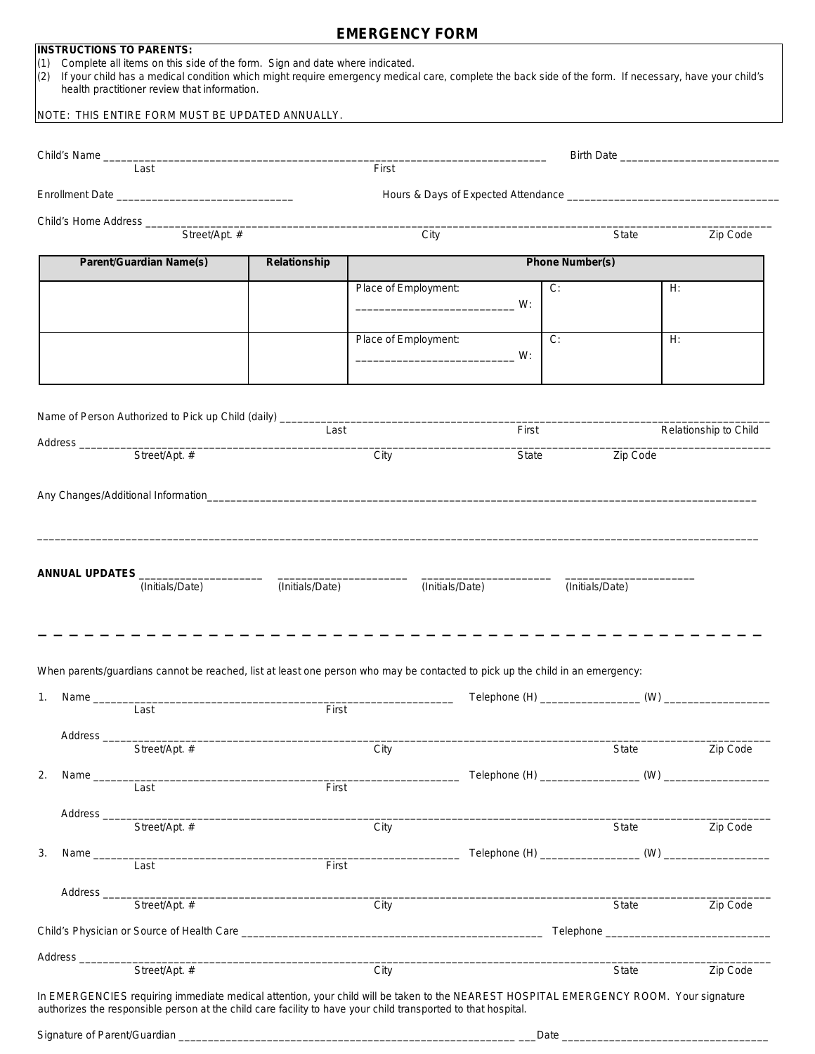## **EMERGENCY FORM**

## **INSTRUCTIONS TO PARENTS:**

- (1) Complete all items on this side of the form. Sign and date where indicated.
- (2) If your child has a medical condition which might require emergency medical care, complete the back side of the form. If necessary, have your child's health practitioner review that information.

## NOTE: THIS ENTIRE FORM MUST BE UPDATED ANNUALLY.

|                                     | Last                                                                                                                          | First                                                                                     |      |                      |       |                        |          |                       |
|-------------------------------------|-------------------------------------------------------------------------------------------------------------------------------|-------------------------------------------------------------------------------------------|------|----------------------|-------|------------------------|----------|-----------------------|
|                                     |                                                                                                                               |                                                                                           |      |                      |       |                        |          |                       |
|                                     |                                                                                                                               |                                                                                           |      |                      |       |                        |          |                       |
|                                     |                                                                                                                               |                                                                                           |      | City                 |       | State                  |          | Zip Code              |
| <b>Parent/Guardian Name(s)</b>      |                                                                                                                               | Relationship                                                                              |      |                      |       | <b>Phone Number(s)</b> |          |                       |
|                                     |                                                                                                                               |                                                                                           |      | Place of Employment: |       | $C$ .                  | H.       |                       |
|                                     |                                                                                                                               |                                                                                           |      |                      |       |                        |          |                       |
|                                     |                                                                                                                               |                                                                                           |      | Place of Employment: |       | $\overline{C}$         | H:       |                       |
|                                     |                                                                                                                               |                                                                                           |      |                      |       |                        |          |                       |
|                                     |                                                                                                                               |                                                                                           |      |                      |       |                        |          |                       |
|                                     | Name of Person Authorized to Pick up Child <i>(daily) ____________________________</i> ___                                    | Last                                                                                      |      |                      | First |                        |          | Relationship to Child |
|                                     | Street/Apt. #                                                                                                                 |                                                                                           | City |                      | State |                        | Zip Code |                       |
|                                     |                                                                                                                               |                                                                                           |      |                      |       |                        |          |                       |
|                                     | ANNUAL UPDATES $\frac{1}{\text{(Initials/Date)}}$ (Initials/Date)                                                             |                                                                                           |      | (Initials/Date)      |       | (Initials/Date)        |          |                       |
|                                     |                                                                                                                               |                                                                                           |      |                      |       |                        |          |                       |
|                                     | When parents/guardians cannot be reached, list at least one person who may be contacted to pick up the child in an emergency: |                                                                                           |      |                      |       |                        |          |                       |
|                                     |                                                                                                                               |                                                                                           |      |                      |       |                        |          |                       |
| 1. Name _______                     | Last                                                                                                                          | First                                                                                     |      |                      |       |                        |          |                       |
| Address_                            | Street/Apt. #                                                                                                                 |                                                                                           | City |                      |       | State                  |          |                       |
|                                     |                                                                                                                               |                                                                                           |      |                      |       |                        |          | Zip Code              |
|                                     | Last                                                                                                                          | First                                                                                     |      |                      |       |                        |          |                       |
| Address <sub>_____</sub>            |                                                                                                                               |                                                                                           |      |                      |       |                        |          |                       |
|                                     | Street/Apt. #                                                                                                                 |                                                                                           | City |                      |       |                        | State    |                       |
| Name $\_\_$                         | Last                                                                                                                          | First                                                                                     |      |                      |       |                        |          |                       |
| Address ____                        |                                                                                                                               |                                                                                           |      |                      |       |                        |          |                       |
|                                     | Street/Apt. #                                                                                                                 |                                                                                           | City |                      |       | State                  |          |                       |
| 2.<br>3.<br>Address _______________ |                                                                                                                               | the control of the control of the control of the control of the control of the control of |      |                      |       |                        |          | Zip Code<br>Zip Code  |

Signature of Parent/Guardian \_\_\_\_\_\_\_\_\_\_\_\_\_\_\_\_\_\_\_\_\_\_\_\_\_\_\_\_\_\_\_\_\_\_\_\_\_\_\_\_\_\_\_\_\_\_\_\_\_\_\_\_\_\_\_\_\_ \_\_\_Date \_\_\_\_\_\_\_\_\_\_\_\_\_\_\_\_\_\_\_\_\_\_\_\_\_\_\_\_\_\_\_\_\_\_\_